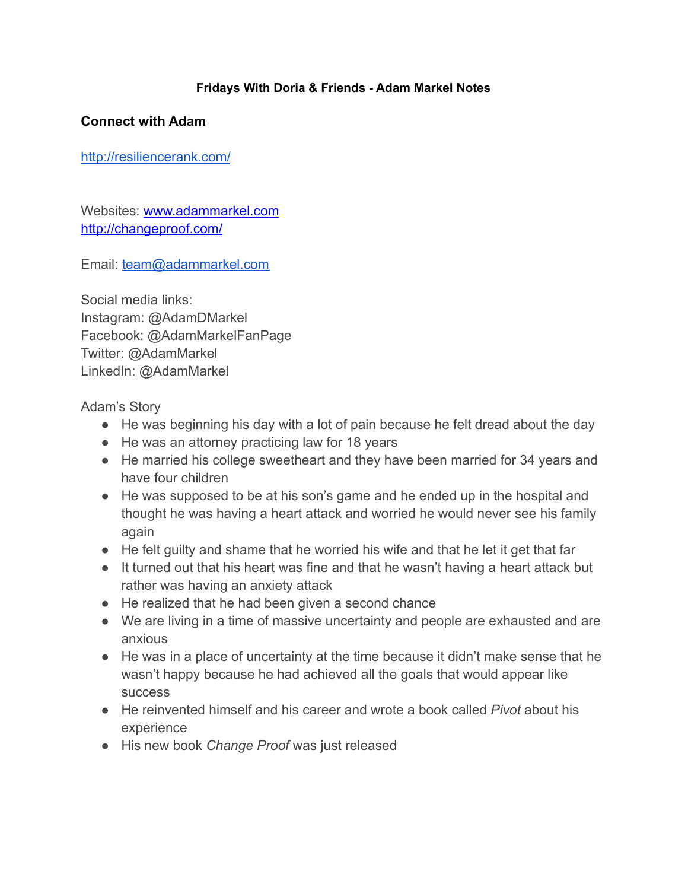## **Fridays With Doria & Friends - Adam Markel Notes**

## **Connect with Adam**

<http://resiliencerank.com/>

Websites: [www.adammarkel.com](http://www.adammarkel.com/) <http://changeproof.com/>

Email: [team@adammarkel.com](mailto:team@adammarkel.com)

Social media links: Instagram: @AdamDMarkel Facebook: @AdamMarkelFanPage Twitter: @AdamMarkel LinkedIn: @AdamMarkel

Adam's Story

- He was beginning his day with a lot of pain because he felt dread about the day
- He was an attorney practicing law for 18 years
- He married his college sweetheart and they have been married for 34 years and have four children
- He was supposed to be at his son's game and he ended up in the hospital and thought he was having a heart attack and worried he would never see his family again
- He felt guilty and shame that he worried his wife and that he let it get that far
- It turned out that his heart was fine and that he wasn't having a heart attack but rather was having an anxiety attack
- He realized that he had been given a second chance
- We are living in a time of massive uncertainty and people are exhausted and are anxious
- He was in a place of uncertainty at the time because it didn't make sense that he wasn't happy because he had achieved all the goals that would appear like success
- He reinvented himself and his career and wrote a book called *Pivot* about his experience
- His new book *Change Proof* was just released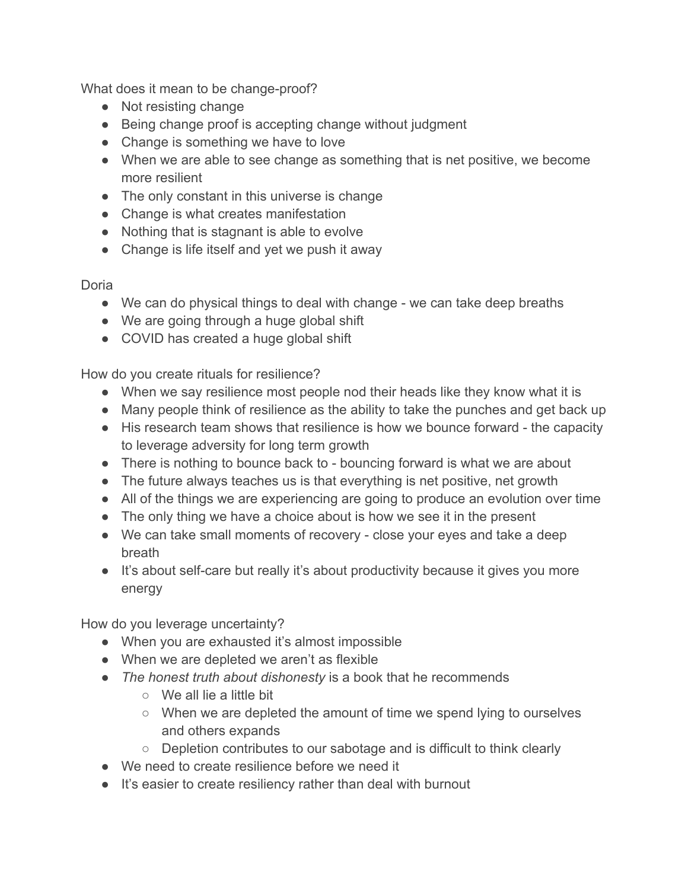What does it mean to be change-proof?

- Not resisting change
- Being change proof is accepting change without judgment
- Change is something we have to love
- When we are able to see change as something that is net positive, we become more resilient
- The only constant in this universe is change
- Change is what creates manifestation
- Nothing that is stagnant is able to evolve
- Change is life itself and yet we push it away

## Doria

- We can do physical things to deal with change we can take deep breaths
- We are going through a huge global shift
- COVID has created a huge global shift

How do you create rituals for resilience?

- When we say resilience most people nod their heads like they know what it is
- Many people think of resilience as the ability to take the punches and get back up
- His research team shows that resilience is how we bounce forward the capacity to leverage adversity for long term growth
- There is nothing to bounce back to bouncing forward is what we are about
- The future always teaches us is that everything is net positive, net growth
- All of the things we are experiencing are going to produce an evolution over time
- The only thing we have a choice about is how we see it in the present
- We can take small moments of recovery close your eyes and take a deep breath
- It's about self-care but really it's about productivity because it gives you more energy

How do you leverage uncertainty?

- When you are exhausted it's almost impossible
- When we are depleted we aren't as flexible
- *The honest truth about dishonesty* is a book that he recommends
	- We all lie a little bit
	- When we are depleted the amount of time we spend lying to ourselves and others expands
	- Depletion contributes to our sabotage and is difficult to think clearly
- We need to create resilience before we need it
- It's easier to create resiliency rather than deal with burnout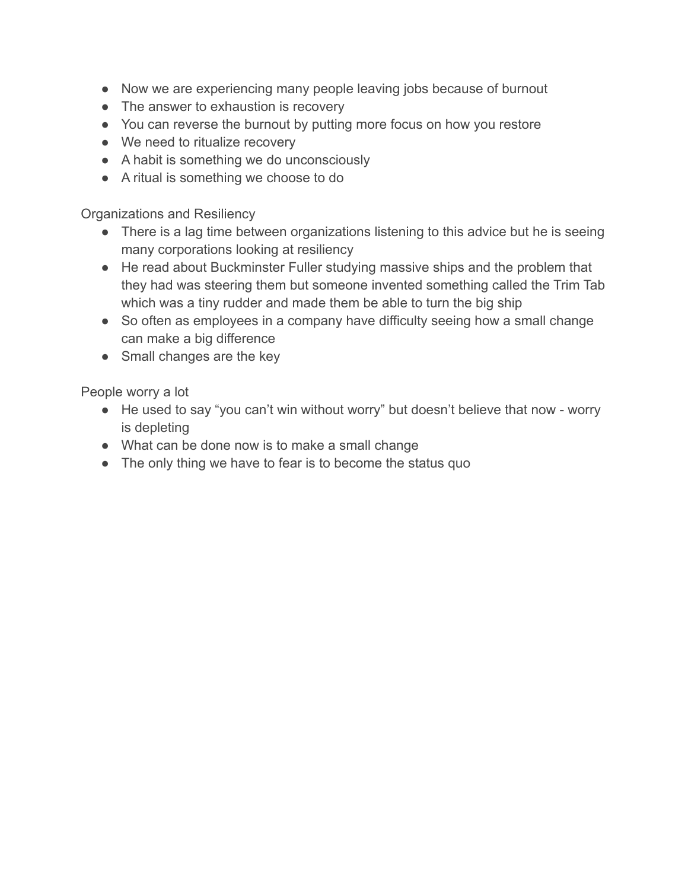- Now we are experiencing many people leaving jobs because of burnout
- The answer to exhaustion is recovery
- You can reverse the burnout by putting more focus on how you restore
- We need to ritualize recovery
- A habit is something we do unconsciously
- A ritual is something we choose to do

Organizations and Resiliency

- There is a lag time between organizations listening to this advice but he is seeing many corporations looking at resiliency
- He read about Buckminster Fuller studying massive ships and the problem that they had was steering them but someone invented something called the Trim Tab which was a tiny rudder and made them be able to turn the big ship
- So often as employees in a company have difficulty seeing how a small change can make a big difference
- Small changes are the key

People worry a lot

- He used to say "you can't win without worry" but doesn't believe that now worry is depleting
- What can be done now is to make a small change
- The only thing we have to fear is to become the status quo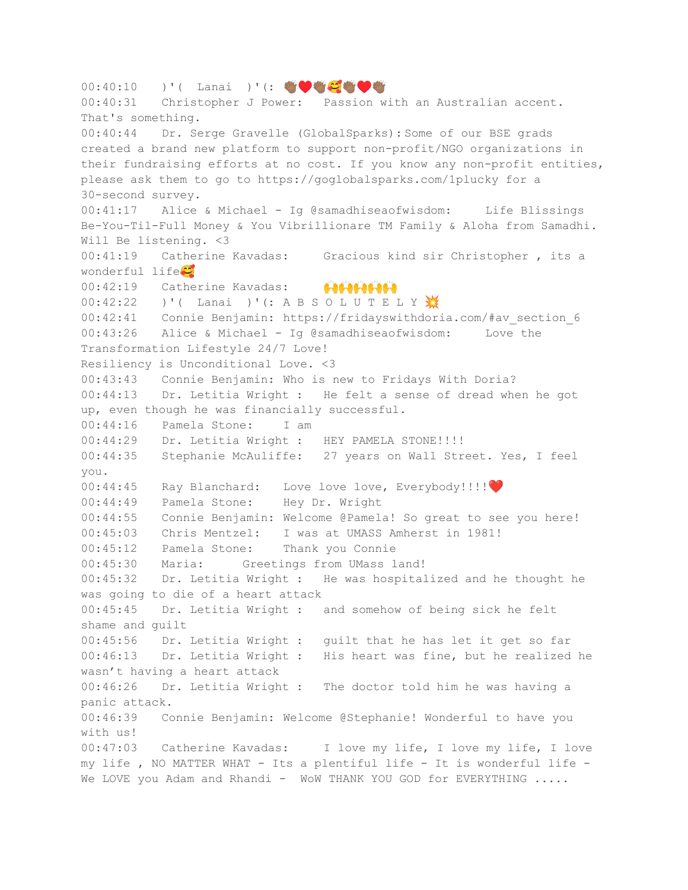00:40:10 )'( Lanai )'(: ₩♥₩<del>₽</del>₩ 00:40:31 Christopher J Power: Passion with an Australian accent. That's something. 00:40:44 Dr. Serge Gravelle (GlobalSparks): Some of our BSE grads created a brand new platform to support non-profit/NGO organizations in their fundraising efforts at no cost. If you know any non-profit entities, please ask them to go to https://goglobalsparks.com/1plucky for a 30-second survey. 00:41:17 Alice & Michael - Ig @samadhiseaofwisdom: Life Blissings Be-You-Til-Full Money & You Vibrillionare TM Family & Aloha from Samadhi. Will Be listening. <3 00:41:19 Catherine Kavadas: Gracious kind sir Christopher , its a wonderful life<sup>2</sup> 00:42:19 Catherine Kavadas:  $00:42:22$  )'( Lanai )'(: A B S O L U T E L Y  $\frac{36}{24}$ 00:42:41 Connie Benjamin: https://fridayswithdoria.com/#av section 6 00:43:26 Alice & Michael - Ig @samadhiseaofwisdom: Love the Transformation Lifestyle 24/7 Love! Resiliency is Unconditional Love. <3 00:43:43 Connie Benjamin: Who is new to Fridays With Doria? 00:44:13 Dr. Letitia Wright : He felt a sense of dread when he got up, even though he was financially successful. 00:44:16 Pamela Stone: I am 00:44:29 Dr. Letitia Wright : HEY PAMELA STONE !!!! 00:44:35 Stephanie McAuliffe: 27 years on Wall Street. Yes, I feel you. 00:44:45 Ray Blanchard: Love love love, Everybody!!!!❤️ 00:44:49 Pamela Stone: Hey Dr. Wright 00:44:55 Connie Benjamin: Welcome @Pamela! So great to see you here! 00:45:03 Chris Mentzel: I was at UMASS Amherst in 1981! 00:45:12 Pamela Stone: Thank you Connie 00:45:30 Maria: Greetings from UMass land! 00:45:32 Dr. Letitia Wright : He was hospitalized and he thought he was going to die of a heart attack 00:45:45 Dr. Letitia Wright : and somehow of being sick he felt shame and guilt 00:45:56 Dr. Letitia Wright : guilt that he has let it get so far 00:46:13 Dr. Letitia Wright : His heart was fine, but he realized he wasn't having a heart attack 00:46:26 Dr. Letitia Wright : The doctor told him he was having a panic attack. 00:46:39 Connie Benjamin: Welcome @Stephanie! Wonderful to have you with us! 00:47:03 Catherine Kavadas: I love my life, I love my life, I love my life , NO MATTER WHAT - Its a plentiful life - It is wonderful life - We LOVE you Adam and Rhandi - WoW THANK YOU GOD for EVERYTHING .....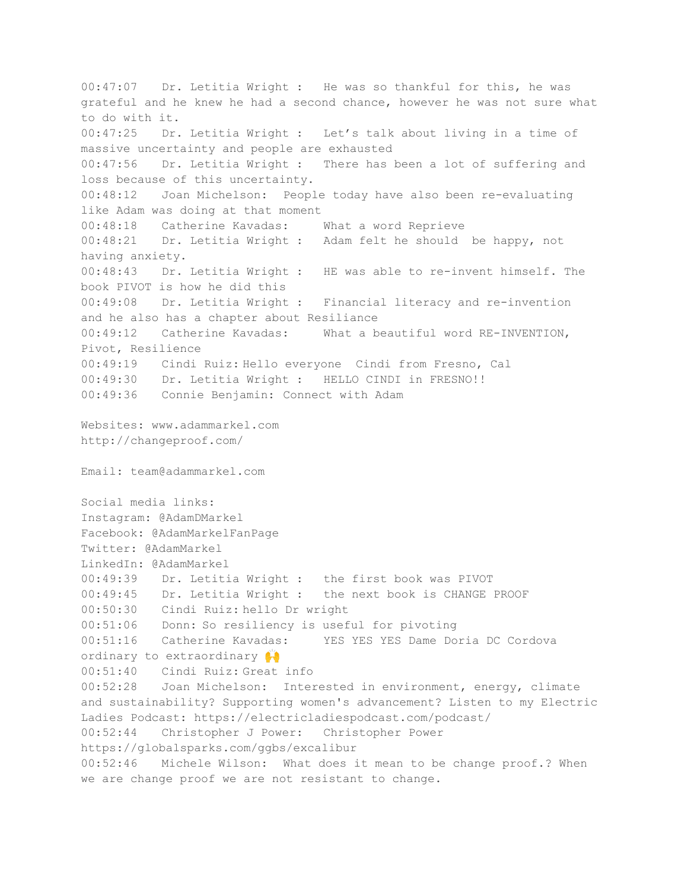00:47:07 Dr. Letitia Wright : He was so thankful for this, he was grateful and he knew he had a second chance, however he was not sure what to do with it. 00:47:25 Dr. Letitia Wright : Let's talk about living in a time of massive uncertainty and people are exhausted 00:47:56 Dr. Letitia Wright : There has been a lot of suffering and loss because of this uncertainty. 00:48:12 Joan Michelson: People today have also been re-evaluating like Adam was doing at that moment 00:48:18 Catherine Kavadas: What a word Reprieve 00:48:21 Dr. Letitia Wright : Adam felt he should be happy, not having anxiety. 00:48:43 Dr. Letitia Wright : HE was able to re-invent himself. The book PIVOT is how he did this 00:49:08 Dr. Letitia Wright : Financial literacy and re-invention and he also has a chapter about Resiliance 00:49:12 Catherine Kavadas: What a beautiful word RE-INVENTION, Pivot, Resilience 00:49:19 Cindi Ruiz: Hello everyone Cindi from Fresno, Cal 00:49:30 Dr. Letitia Wright : HELLO CINDI in FRESNO!! 00:49:36 Connie Benjamin: Connect with Adam Websites: www.adammarkel.com http://changeproof.com/ Email: team@adammarkel.com Social media links: Instagram: @AdamDMarkel Facebook: @AdamMarkelFanPage Twitter: @AdamMarkel LinkedIn: @AdamMarkel 00:49:39 Dr. Letitia Wright : the first book was PIVOT 00:49:45 Dr. Letitia Wright : the next book is CHANGE PROOF 00:50:30 Cindi Ruiz: hello Dr wright 00:51:06 Donn: So resiliency is useful for pivoting 00:51:16 Catherine Kavadas: YES YES YES Dame Doria DC Cordova ordinary to extraordinary  $\mathbf{\mathcal{L}}$ 00:51:40 Cindi Ruiz: Great info 00:52:28 Joan Michelson: Interested in environment, energy, climate and sustainability? Supporting women's advancement? Listen to my Electric Ladies Podcast: https://electricladiespodcast.com/podcast/ 00:52:44 Christopher J Power: Christopher Power https://globalsparks.com/ggbs/excalibur 00:52:46 Michele Wilson: What does it mean to be change proof.? When we are change proof we are not resistant to change.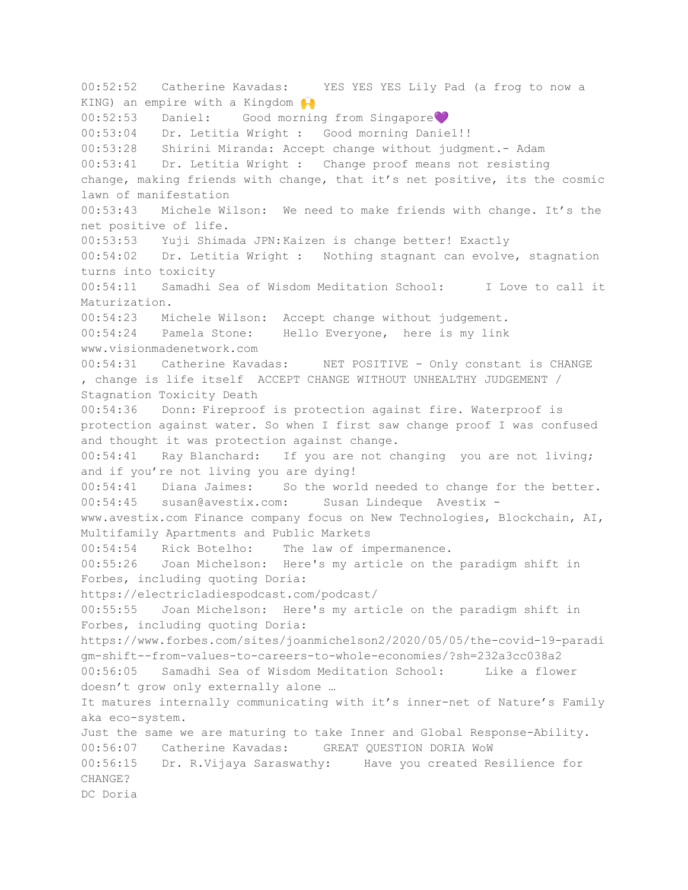00:52:52 Catherine Kavadas: YES YES YES Lily Pad (a frog to now a KING) an empire with a Kingdom 00:52:53 Daniel: Good morning from Singapore 00:53:04 Dr. Letitia Wright : Good morning Daniel!! 00:53:28 Shirini Miranda: Accept change without judgment.- Adam 00:53:41 Dr. Letitia Wright : Change proof means not resisting change, making friends with change, that it's net positive, its the cosmic lawn of manifestation 00:53:43 Michele Wilson: We need to make friends with change. It's the net positive of life. 00:53:53 Yuji Shimada JPN:Kaizen is change better! Exactly 00:54:02 Dr. Letitia Wright : Nothing stagnant can evolve, stagnation turns into toxicity 00:54:11 Samadhi Sea of Wisdom Meditation School: I Love to call it Maturization. 00:54:23 Michele Wilson: Accept change without judgement. 00:54:24 Pamela Stone: Hello Everyone, here is my link www.visionmadenetwork.com 00:54:31 Catherine Kavadas: NET POSITIVE - Only constant is CHANGE , change is life itself ACCEPT CHANGE WITHOUT UNHEALTHY JUDGEMENT / Stagnation Toxicity Death 00:54:36 Donn: Fireproof is protection against fire. Waterproof is protection against water. So when I first saw change proof I was confused and thought it was protection against change. 00:54:41 Ray Blanchard: If you are not changing you are not living; and if you're not living you are dying! 00:54:41 Diana Jaimes: So the world needed to change for the better. 00:54:45 susan@avestix.com: Susan Lindeque Avestix www.avestix.com Finance company focus on New Technologies, Blockchain, AI, Multifamily Apartments and Public Markets 00:54:54 Rick Botelho: The law of impermanence. 00:55:26 Joan Michelson: Here's my article on the paradigm shift in Forbes, including quoting Doria: https://electricladiespodcast.com/podcast/ 00:55:55 Joan Michelson: Here's my article on the paradigm shift in Forbes, including quoting Doria: https://www.forbes.com/sites/joanmichelson2/2020/05/05/the-covid-19-paradi gm-shift--from-values-to-careers-to-whole-economies/?sh=232a3cc038a2 00:56:05 Samadhi Sea of Wisdom Meditation School: Like a flower doesn't grow only externally alone … It matures internally communicating with it's inner-net of Nature's Family aka eco-system. Just the same we are maturing to take Inner and Global Response-Ability. 00:56:07 Catherine Kavadas: GREAT QUESTION DORIA WoW 00:56:15 Dr. R.Vijaya Saraswathy: Have you created Resilience for CHANGE? DC Doria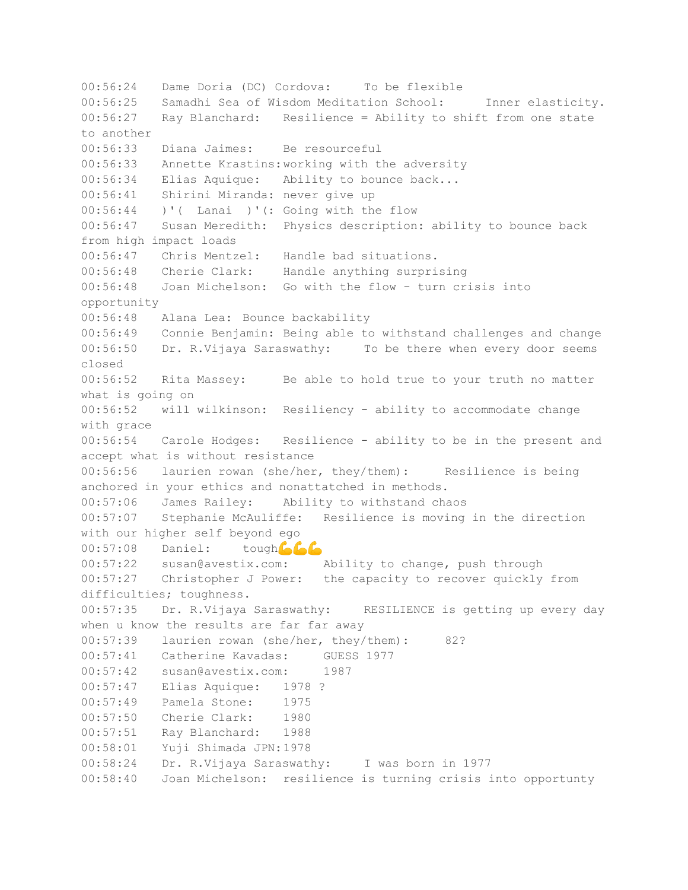00:56:24 Dame Doria (DC) Cordova: To be flexible 00:56:25 Samadhi Sea of Wisdom Meditation School: Inner elasticity. 00:56:27 Ray Blanchard: Resilience = Ability to shift from one state to another 00:56:33 Diana Jaimes: Be resourceful 00:56:33 Annette Krastins:working with the adversity 00:56:34 Elias Aquique: Ability to bounce back... 00:56:41 Shirini Miranda: never give up 00:56:44 )'( Lanai )'(: Going with the flow 00:56:47 Susan Meredith: Physics description: ability to bounce back from high impact loads 00:56:47 Chris Mentzel: Handle bad situations. 00:56:48 Cherie Clark: Handle anything surprising 00:56:48 Joan Michelson: Go with the flow - turn crisis into opportunity 00:56:48 Alana Lea: Bounce backability 00:56:49 Connie Benjamin: Being able to withstand challenges and change 00:56:50 Dr. R.Vijaya Saraswathy: To be there when every door seems closed 00:56:52 Rita Massey: Be able to hold true to your truth no matter what is going on 00:56:52 will wilkinson: Resiliency - ability to accommodate change with grace 00:56:54 Carole Hodges: Resilience - ability to be in the present and accept what is without resistance 00:56:56 laurien rowan (she/her, they/them): Resilience is being anchored in your ethics and nonattatched in methods. 00:57:06 James Railey: Ability to withstand chaos 00:57:07 Stephanie McAuliffe: Resilience is moving in the direction with our higher self beyond ego 00:57:08 Daniel: tough 00:57:22 susan@avestix.com: Ability to change, push through 00:57:27 Christopher J Power: the capacity to recover quickly from difficulties; toughness. 00:57:35 Dr. R.Vijaya Saraswathy: RESILIENCE is getting up every day when u know the results are far far away 00:57:39 laurien rowan (she/her, they/them): 82? 00:57:41 Catherine Kavadas: GUESS 1977 00:57:42 susan@avestix.com: 1987 00:57:47 Elias Aquique: 1978 ? 00:57:49 Pamela Stone: 1975 00:57:50 Cherie Clark: 1980 00:57:51 Ray Blanchard: 1988 00:58:01 Yuji Shimada JPN:1978 00:58:24 Dr. R.Vijaya Saraswathy: I was born in 1977 00:58:40 Joan Michelson: resilience is turning crisis into opportunty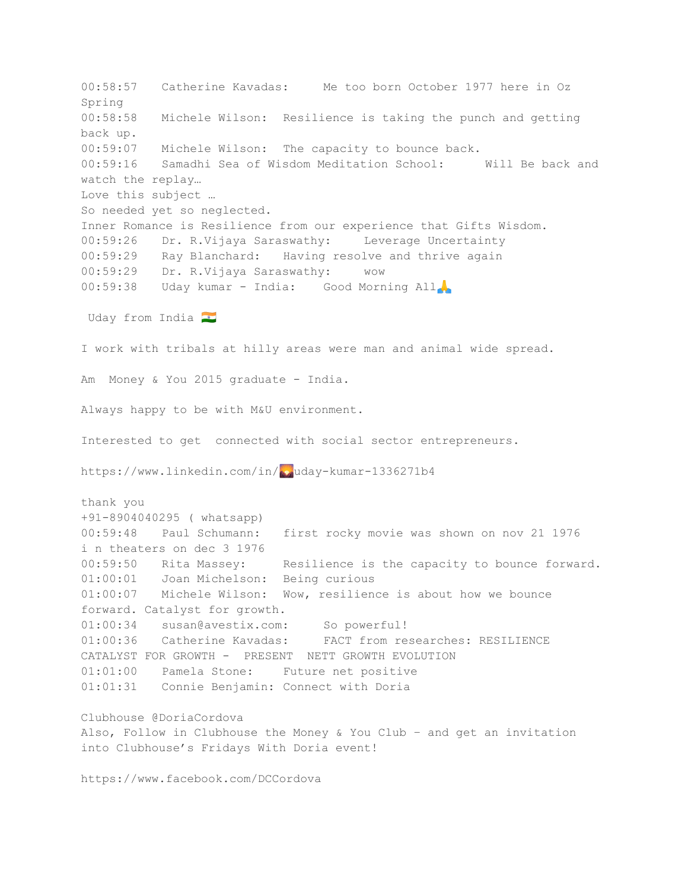00:58:57 Catherine Kavadas: Me too born October 1977 here in Oz Spring 00:58:58 Michele Wilson: Resilience is taking the punch and getting back up. 00:59:07 Michele Wilson: The capacity to bounce back. 00:59:16 Samadhi Sea of Wisdom Meditation School: Will Be back and watch the replay… Love this subject … So needed yet so neglected. Inner Romance is Resilience from our experience that Gifts Wisdom. 00:59:26 Dr. R.Vijaya Saraswathy: Leverage Uncertainty 00:59:29 Ray Blanchard: Having resolve and thrive again 00:59:29 Dr. R.Vijaya Saraswathy: wow 00:59:38 Uday kumar - India: Good Morning All Uday from India I work with tribals at hilly areas were man and animal wide spread. Am Money & You 2015 graduate - India. Always happy to be with M&U environment. Interested to get connected with social sector entrepreneurs. https://www.linkedin.com/in/wwday-kumar-1336271b4 thank you +91-8904040295 ( whatsapp) 00:59:48 Paul Schumann: first rocky movie was shown on nov 21 1976 i n theaters on dec 3 1976 00:59:50 Rita Massey: Resilience is the capacity to bounce forward. 01:00:01 Joan Michelson: Being curious 01:00:07 Michele Wilson: Wow, resilience is about how we bounce forward. Catalyst for growth. 01:00:34 susan@avestix.com: So powerful! 01:00:36 Catherine Kavadas: FACT from researches: RESILIENCE CATALYST FOR GROWTH - PRESENT NETT GROWTH EVOLUTION 01:01:00 Pamela Stone: Future net positive 01:01:31 Connie Benjamin: Connect with Doria Clubhouse @DoriaCordova Also, Follow in Clubhouse the Money & You Club – and get an invitation into Clubhouse's Fridays With Doria event!

https://www.facebook.com/DCCordova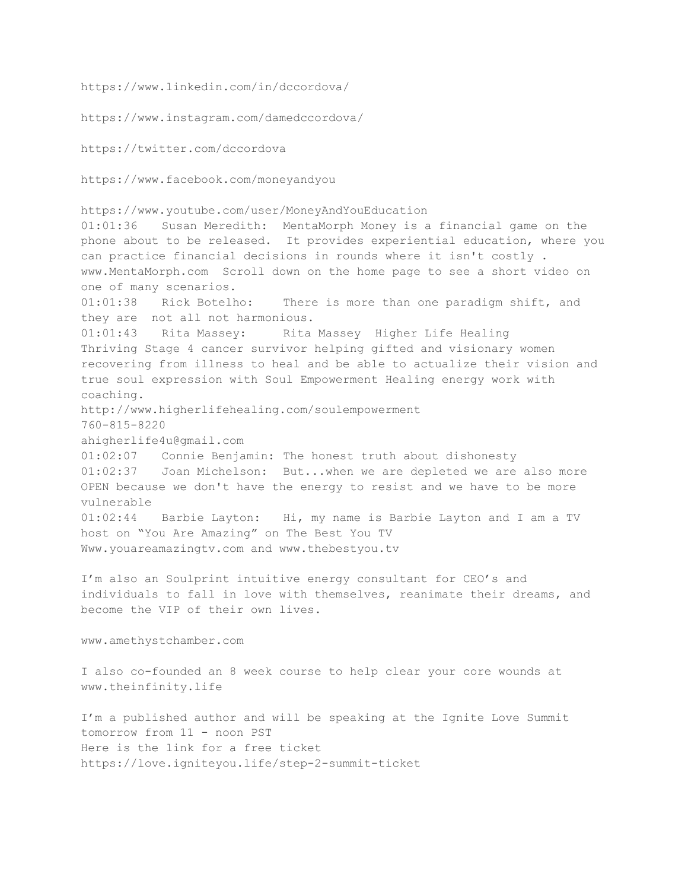https://www.linkedin.com/in/dccordova/

https://www.instagram.com/damedccordova/

https://twitter.com/dccordova

https://www.facebook.com/moneyandyou

https://www.youtube.com/user/MoneyAndYouEducation 01:01:36 Susan Meredith: MentaMorph Money is a financial game on the phone about to be released. It provides experiential education, where you can practice financial decisions in rounds where it isn't costly . www.MentaMorph.com Scroll down on the home page to see a short video on one of many scenarios. 01:01:38 Rick Botelho: There is more than one paradigm shift, and they are not all not harmonious. 01:01:43 Rita Massey: Rita Massey Higher Life Healing Thriving Stage 4 cancer survivor helping gifted and visionary women recovering from illness to heal and be able to actualize their vision and true soul expression with Soul Empowerment Healing energy work with coaching. http://www.higherlifehealing.com/soulempowerment 760-815-8220 ahigherlife4u@gmail.com 01:02:07 Connie Benjamin: The honest truth about dishonesty 01:02:37 Joan Michelson: But...when we are depleted we are also more OPEN because we don't have the energy to resist and we have to be more vulnerable 01:02:44 Barbie Layton: Hi, my name is Barbie Layton and I am a TV host on "You Are Amazing" on The Best You TV Www.youareamazingtv.com and www.thebestyou.tv

I'm also an Soulprint intuitive energy consultant for CEO's and individuals to fall in love with themselves, reanimate their dreams, and become the VIP of their own lives.

www.amethystchamber.com

I also co-founded an 8 week course to help clear your core wounds at www.theinfinity.life

I'm a published author and will be speaking at the Ignite Love Summit tomorrow from 11 - noon PST Here is the link for a free ticket https://love.igniteyou.life/step-2-summit-ticket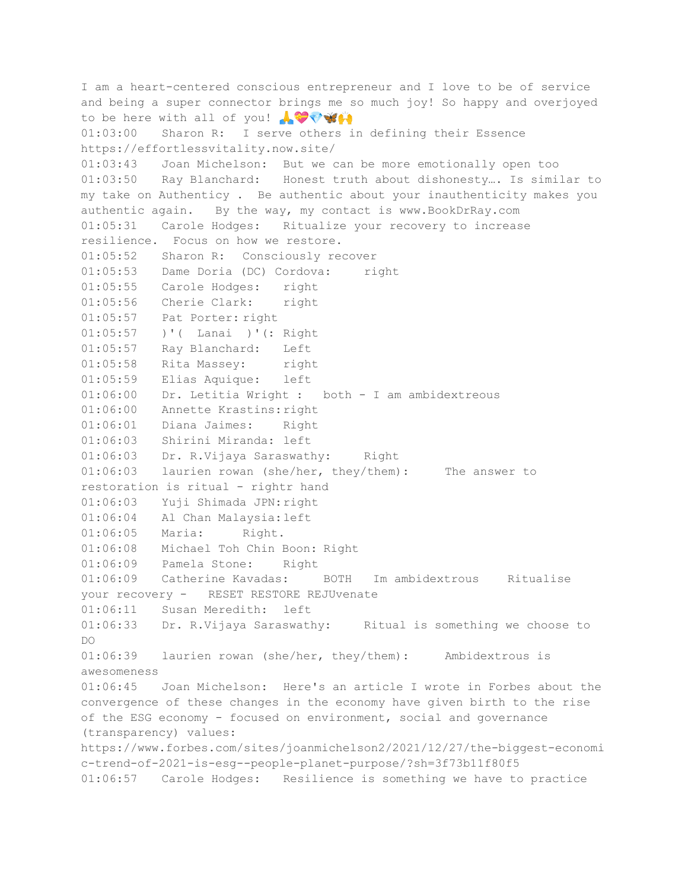I am a heart-centered conscious entrepreneur and I love to be of service and being a super connector brings me so much joy! So happy and overjoyed to be here with all of you! A V V W A 01:03:00 Sharon R: I serve others in defining their Essence https://effortlessvitality.now.site/ 01:03:43 Joan Michelson: But we can be more emotionally open too 01:03:50 Ray Blanchard: Honest truth about dishonesty…. Is similar to my take on Authenticy . Be authentic about your inauthenticity makes you authentic again. By the way, my contact is www.BookDrRay.com 01:05:31 Carole Hodges: Ritualize your recovery to increase resilience. Focus on how we restore. 01:05:52 Sharon R: Consciously recover 01:05:53 Dame Doria (DC) Cordova: right 01:05:55 Carole Hodges: right 01:05:56 Cherie Clark: right 01:05:57 Pat Porter: right 01:05:57 )'( Lanai )'(: Right 01:05:57 Ray Blanchard: Left 01:05:58 Rita Massey: right 01:05:59 Elias Aquique: left 01:06:00 Dr. Letitia Wright : both - I am ambidextreous 01:06:00 Annette Krastins: right 01:06:01 Diana Jaimes: Right 01:06:03 Shirini Miranda: left 01:06:03 Dr. R.Vijaya Saraswathy: Right 01:06:03 laurien rowan (she/her, they/them): The answer to restoration is ritual - rightr hand 01:06:03 Yuji Shimada JPN: right 01:06:04 Al Chan Malaysia:left 01:06:05 Maria: Right. 01:06:08 Michael Toh Chin Boon: Right 01:06:09 Pamela Stone: Right 01:06:09 Catherine Kavadas: BOTH Im ambidextrous Ritualise your recovery - RESET RESTORE REJUvenate 01:06:11 Susan Meredith: left 01:06:33 Dr. R.Vijaya Saraswathy: Ritual is something we choose to  $D<sub>O</sub>$ 01:06:39 laurien rowan (she/her, they/them): Ambidextrous is awesomeness 01:06:45 Joan Michelson: Here's an article I wrote in Forbes about the convergence of these changes in the economy have given birth to the rise of the ESG economy - focused on environment, social and governance (transparency) values: https://www.forbes.com/sites/joanmichelson2/2021/12/27/the-biggest-economi c-trend-of-2021-is-esg--people-planet-purpose/?sh=3f73b11f80f5 01:06:57 Carole Hodges: Resilience is something we have to practice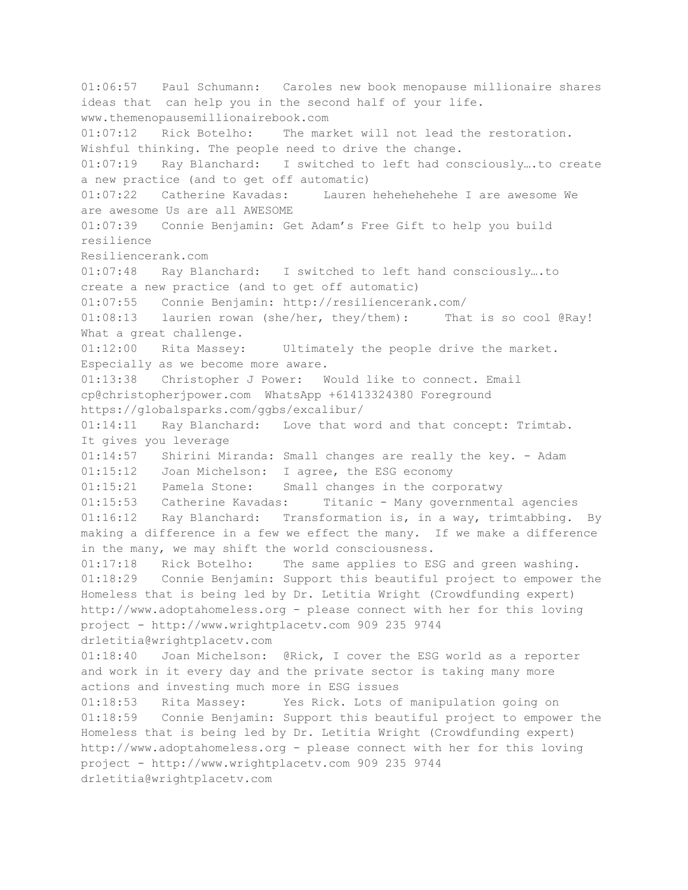01:06:57 Paul Schumann: Caroles new book menopause millionaire shares ideas that can help you in the second half of your life. www.themenopausemillionairebook.com 01:07:12 Rick Botelho: The market will not lead the restoration. Wishful thinking. The people need to drive the change. 01:07:19 Ray Blanchard: I switched to left had consciously….to create a new practice (and to get off automatic) 01:07:22 Catherine Kavadas: Lauren hehehehehehe I are awesome We are awesome Us are all AWESOME 01:07:39 Connie Benjamin: Get Adam's Free Gift to help you build resilience Resiliencerank.com 01:07:48 Ray Blanchard: I switched to left hand consciously….to create a new practice (and to get off automatic) 01:07:55 Connie Benjamin: http://resiliencerank.com/ 01:08:13 laurien rowan (she/her, they/them): That is so cool @Ray! What a great challenge. 01:12:00 Rita Massey: Ultimately the people drive the market. Especially as we become more aware. 01:13:38 Christopher J Power: Would like to connect. Email cp@christopherjpower.com WhatsApp +61413324380 Foreground https://globalsparks.com/ggbs/excalibur/ 01:14:11 Ray Blanchard: Love that word and that concept: Trimtab. It gives you leverage 01:14:57 Shirini Miranda: Small changes are really the key. - Adam 01:15:12 Joan Michelson: I agree, the ESG economy 01:15:21 Pamela Stone: Small changes in the corporatwy 01:15:53 Catherine Kavadas: Titanic - Many governmental agencies 01:16:12 Ray Blanchard: Transformation is, in a way, trimtabbing. By making a difference in a few we effect the many. If we make a difference in the many, we may shift the world consciousness. 01:17:18 Rick Botelho: The same applies to ESG and green washing. 01:18:29 Connie Benjamin: Support this beautiful project to empower the Homeless that is being led by Dr. Letitia Wright (Crowdfunding expert) http://www.adoptahomeless.org - please connect with her for this loving project - http://www.wrightplacetv.com 909 235 9744 drletitia@wrightplacetv.com 01:18:40 Joan Michelson: @Rick, I cover the ESG world as a reporter and work in it every day and the private sector is taking many more actions and investing much more in ESG issues 01:18:53 Rita Massey: Yes Rick. Lots of manipulation going on 01:18:59 Connie Benjamin: Support this beautiful project to empower the Homeless that is being led by Dr. Letitia Wright (Crowdfunding expert) http://www.adoptahomeless.org - please connect with her for this loving project - http://www.wrightplacetv.com 909 235 9744 drletitia@wrightplacetv.com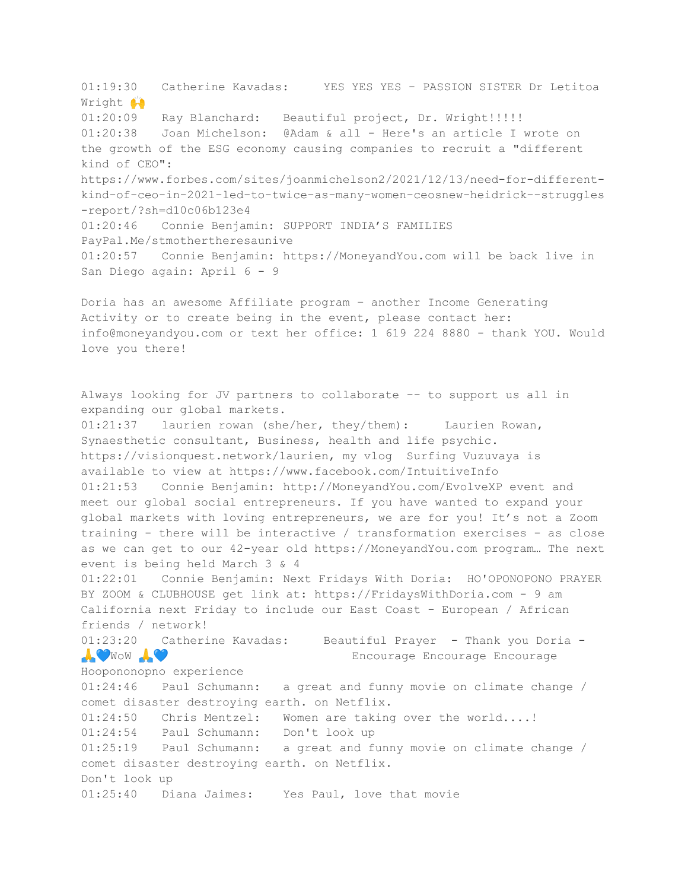01:19:30 Catherine Kavadas: YES YES YES - PASSION SISTER Dr Letitoa Wright <sup>11</sup> 01:20:09 Ray Blanchard: Beautiful project, Dr. Wright!!!!! 01:20:38 Joan Michelson: @Adam & all - Here's an article I wrote on the growth of the ESG economy causing companies to recruit a "different kind of CEO": https://www.forbes.com/sites/joanmichelson2/2021/12/13/need-for-differentkind-of-ceo-in-2021-led-to-twice-as-many-women-ceosnew-heidrick--struggles -report/?sh=d10c06b123e4 01:20:46 Connie Benjamin: SUPPORT INDIA'S FAMILIES PayPal.Me/stmothertheresaunive 01:20:57 Connie Benjamin: https://MoneyandYou.com will be back live in San Diego again: April 6 - 9 Doria has an awesome Affiliate program – another Income Generating Activity or to create being in the event, please contact her: info@moneyandyou.com or text her office: 1 619 224 8880 - thank YOU. Would love you there! Always looking for JV partners to collaborate -- to support us all in expanding our global markets. 01:21:37 laurien rowan (she/her, they/them): Laurien Rowan, Synaesthetic consultant, Business, health and life psychic. https://visionquest.network/laurien, my vlog Surfing Vuzuvaya is available to view at https://www.facebook.com/IntuitiveInfo 01:21:53 Connie Benjamin: http://MoneyandYou.com/EvolveXP event and meet our global social entrepreneurs. If you have wanted to expand your global markets with loving entrepreneurs, we are for you! It's not a Zoom training - there will be interactive / transformation exercises - as close as we can get to our 42-year old https://MoneyandYou.com program… The next event is being held March 3 & 4 01:22:01 Connie Benjamin: Next Fridays With Doria: HO'OPONOPONO PRAYER BY ZOOM & CLUBHOUSE get link at: https://FridaysWithDoria.com - 9 am California next Friday to include our East Coast - European / African friends / network! 01:23:20 Catherine Kavadas: Beautiful Prayer - Thank you Doria - WoW A WOW A SERIES ENCOURAGE ENCOURAGE ENCOURAGE Hoopononopno experience 01:24:46 Paul Schumann: a great and funny movie on climate change / comet disaster destroying earth. on Netflix. 01:24:50 Chris Mentzel: Women are taking over the world....! 01:24:54 Paul Schumann: Don't look up 01:25:19 Paul Schumann: a great and funny movie on climate change / comet disaster destroying earth. on Netflix. Don't look up 01:25:40 Diana Jaimes: Yes Paul, love that movie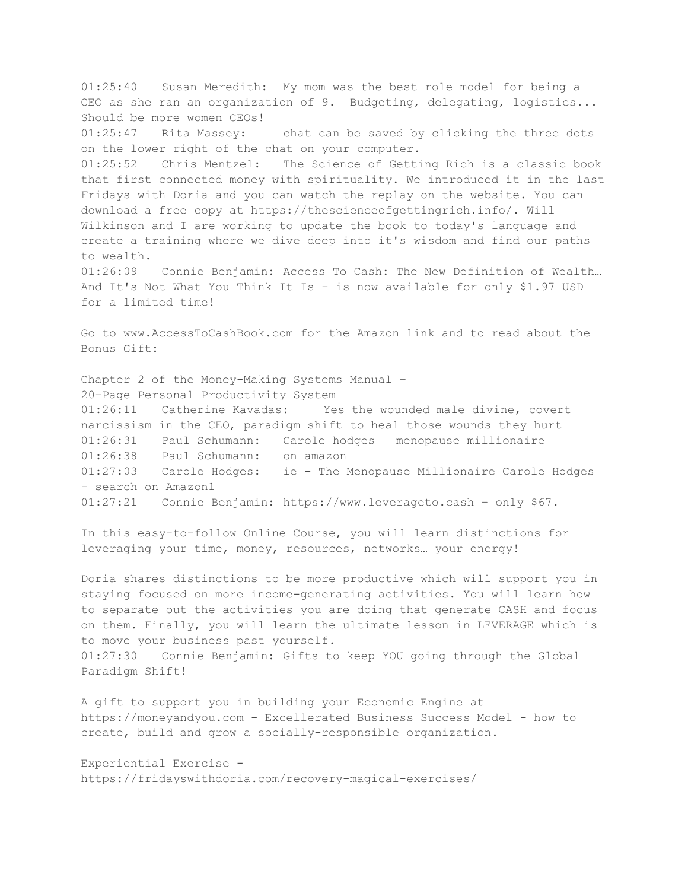01:25:40 Susan Meredith: My mom was the best role model for being a CEO as she ran an organization of 9. Budgeting, delegating, logistics... Should be more women CEOs! 01:25:47 Rita Massey: chat can be saved by clicking the three dots on the lower right of the chat on your computer. 01:25:52 Chris Mentzel: The Science of Getting Rich is a classic book that first connected money with spirituality. We introduced it in the last Fridays with Doria and you can watch the replay on the website. You can download a free copy at https://thescienceofgettingrich.info/. Will Wilkinson and I are working to update the book to today's language and create a training where we dive deep into it's wisdom and find our paths to wealth. 01:26:09 Connie Benjamin: Access To Cash: The New Definition of Wealth… And It's Not What You Think It Is - is now available for only \$1.97 USD for a limited time! Go to www.AccessToCashBook.com for the Amazon link and to read about the Bonus Gift: Chapter 2 of the Money-Making Systems Manual – 20-Page Personal Productivity System 01:26:11 Catherine Kavadas: Yes the wounded male divine, covert narcissism in the CEO, paradigm shift to heal those wounds they hurt 01:26:31 Paul Schumann: Carole hodges menopause millionaire 01:26:38 Paul Schumann: on amazon 01:27:03 Carole Hodges: ie - The Menopause Millionaire Carole Hodges

- search on Amazon1

01:27:21 Connie Benjamin: https://www.leverageto.cash – only \$67.

In this easy-to-follow Online Course, you will learn distinctions for leveraging your time, money, resources, networks… your energy!

Doria shares distinctions to be more productive which will support you in staying focused on more income-generating activities. You will learn how to separate out the activities you are doing that generate CASH and focus on them. Finally, you will learn the ultimate lesson in LEVERAGE which is to move your business past yourself.

01:27:30 Connie Benjamin: Gifts to keep YOU going through the Global Paradigm Shift!

A gift to support you in building your Economic Engine at https://moneyandyou.com - Excellerated Business Success Model - how to create, build and grow a socially-responsible organization.

Experiential Exercise https://fridayswithdoria.com/recovery-magical-exercises/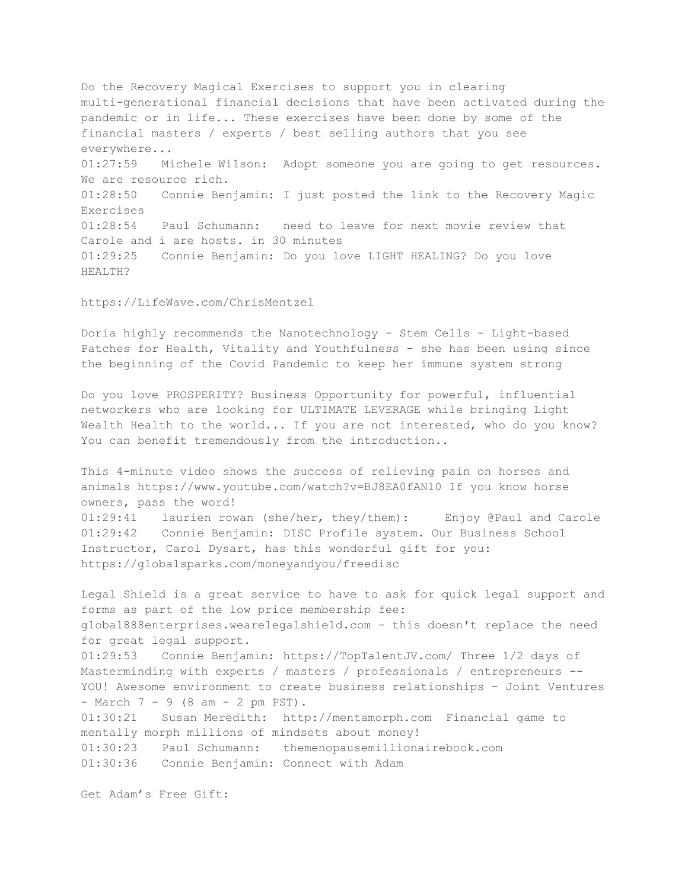Do the Recovery Magical Exercises to support you in clearing multi-generational financial decisions that have been activated during the pandemic or in life... These exercises have been done by some of the financial masters / experts / best selling authors that you see everywhere... 01:27:59 Michele Wilson: Adopt someone you are going to get resources. We are resource rich. 01:28:50 Connie Benjamin: I just posted the link to the Recovery Magic Exercises 01:28:54 Paul Schumann: need to leave for next movie review that Carole and i are hosts. in 30 minutes 01:29:25 Connie Benjamin: Do you love LIGHT HEALING? Do you love HEALTH?

https://LifeWave.com/ChrisMentzel

Doria highly recommends the Nanotechnology - Stem Cells - Light-based Patches for Health, Vitality and Youthfulness - she has been using since the beginning of the Covid Pandemic to keep her immune system strong

Do you love PROSPERITY? Business Opportunity for powerful, influential networkers who are looking for ULTIMATE LEVERAGE while bringing Light Wealth Health to the world... If you are not interested, who do you know? You can benefit tremendously from the introduction..

This 4-minute video shows the success of relieving pain on horses and animals https://www.youtube.com/watch?v=BJ8EA0fANl0 If you know horse owners, pass the word! 01:29:41 laurien rowan (she/her, they/them): Enjoy @Paul and Carole 01:29:42 Connie Benjamin: DISC Profile system. Our Business School Instructor, Carol Dysart, has this wonderful gift for you: https://globalsparks.com/moneyandyou/freedisc

Legal Shield is a great service to have to ask for quick legal support and forms as part of the low price membership fee: global888enterprises.wearelegalshield.com - this doesn't replace the need for great legal support. 01:29:53 Connie Benjamin: https://TopTalentJV.com/ Three 1/2 days of Masterminding with experts / masters / professionals / entrepreneurs -- YOU! Awesome environment to create business relationships - Joint Ventures - March 7 - 9 (8 am - 2 pm PST). 01:30:21 Susan Meredith: http://mentamorph.com Financial game to mentally morph millions of mindsets about money! 01:30:23 Paul Schumann: themenopausemillionairebook.com 01:30:36 Connie Benjamin: Connect with Adam

Get Adam's Free Gift: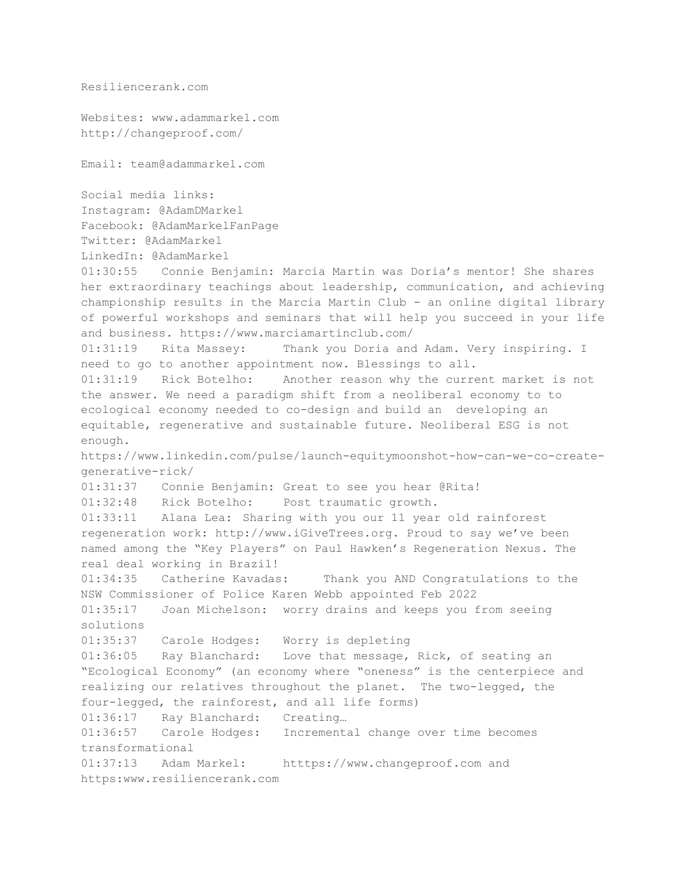```
Resiliencerank.com
Websites: www.adammarkel.com
http://changeproof.com/
Email: team@adammarkel.com
Social media links:
Instagram: @AdamDMarkel
Facebook: @AdamMarkelFanPage
Twitter: @AdamMarkel
LinkedIn: @AdamMarkel
01:30:55 Connie Benjamin: Marcia Martin was Doria's mentor! She shares
her extraordinary teachings about leadership, communication, and achieving
championship results in the Marcia Martin Club - an online digital library
of powerful workshops and seminars that will help you succeed in your life
and business. https://www.marciamartinclub.com/
01:31:19 Rita Massey: Thank you Doria and Adam. Very inspiring. I
need to go to another appointment now. Blessings to all.
01:31:19 Rick Botelho: Another reason why the current market is not
the answer. We need a paradigm shift from a neoliberal economy to to
ecological economy needed to co-design and build an developing an
equitable, regenerative and sustainable future. Neoliberal ESG is not
enough.
https://www.linkedin.com/pulse/launch-equitymoonshot-how-can-we-co-create-
generative-rick/
01:31:37 Connie Benjamin: Great to see you hear @Rita!
01:32:48 Rick Botelho: Post traumatic growth.
01:33:11 Alana Lea: Sharing with you our 11 year old rainforest
regeneration work: http://www.iGiveTrees.org. Proud to say we've been
named among the "Key Players" on Paul Hawken's Regeneration Nexus. The
real deal working in Brazil!
01:34:35 Catherine Kavadas: Thank you AND Congratulations to the
NSW Commissioner of Police Karen Webb appointed Feb 2022
01:35:17 Joan Michelson: worry drains and keeps you from seeing
solutions
01:35:37 Carole Hodges: Worry is depleting
01:36:05 Ray Blanchard: Love that message, Rick, of seating an
"Ecological Economy" (an economy where "oneness" is the centerpiece and
realizing our relatives throughout the planet. The two-legged, the
four-legged, the rainforest, and all life forms)
01:36:17 Ray Blanchard: Creating…
01:36:57 Carole Hodges: Incremental change over time becomes
transformational
01:37:13 Adam Markel: htttps://www.changeproof.com and
https:www.resiliencerank.com
```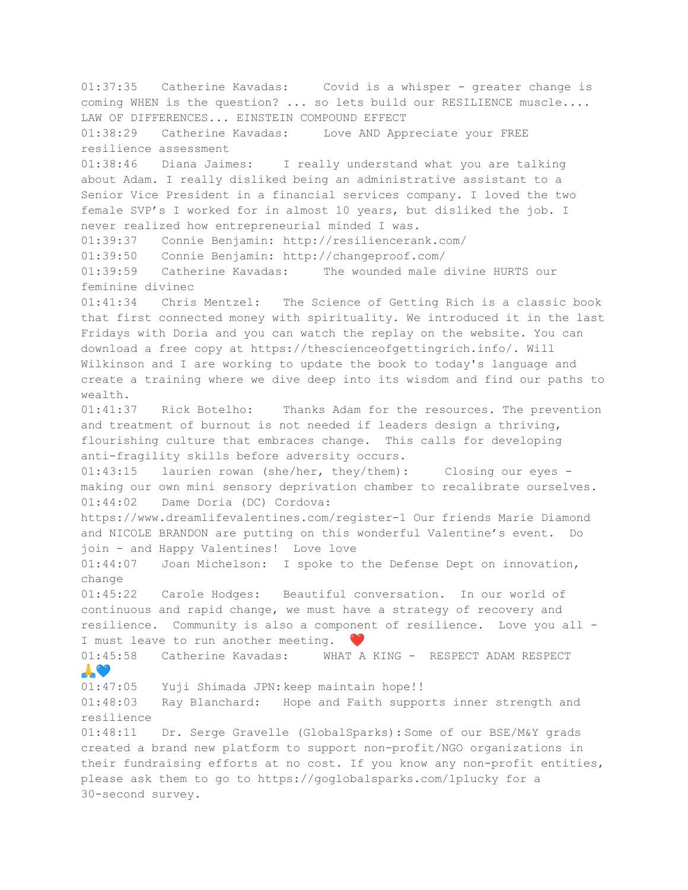01:37:35 Catherine Kavadas: Covid is a whisper - greater change is coming WHEN is the question? ... so lets build our RESILIENCE muscle.... LAW OF DIFFERENCES... EINSTEIN COMPOUND EFFECT 01:38:29 Catherine Kavadas: Love AND Appreciate your FREE resilience assessment 01:38:46 Diana Jaimes: I really understand what you are talking about Adam. I really disliked being an administrative assistant to a Senior Vice President in a financial services company. I loved the two female SVP's I worked for in almost 10 years, but disliked the job. I never realized how entrepreneurial minded I was. 01:39:37 Connie Benjamin: http://resiliencerank.com/ 01:39:50 Connie Benjamin: http://changeproof.com/ 01:39:59 Catherine Kavadas: The wounded male divine HURTS our feminine divinec 01:41:34 Chris Mentzel: The Science of Getting Rich is a classic book that first connected money with spirituality. We introduced it in the last Fridays with Doria and you can watch the replay on the website. You can download a free copy at https://thescienceofgettingrich.info/. Will Wilkinson and I are working to update the book to today's language and create a training where we dive deep into its wisdom and find our paths to wealth. 01:41:37 Rick Botelho: Thanks Adam for the resources. The prevention and treatment of burnout is not needed if leaders design a thriving, flourishing culture that embraces change. This calls for developing anti-fragility skills before adversity occurs. 01:43:15 laurien rowan (she/her, they/them): Closing our eyes making our own mini sensory deprivation chamber to recalibrate ourselves. 01:44:02 Dame Doria (DC) Cordova: https://www.dreamlifevalentines.com/register-1 Our friends Marie Diamond and NICOLE BRANDON are putting on this wonderful Valentine's event. Do join - and Happy Valentines! Love love 01:44:07 Joan Michelson: I spoke to the Defense Dept on innovation, change 01:45:22 Carole Hodges: Beautiful conversation. In our world of continuous and rapid change, we must have a strategy of recovery and resilience. Community is also a component of resilience. Love you all - I must leave to run another meeting. 01:45:58 Catherine Kavadas: WHAT A KING - RESPECT ADAM RESPECT TA 01:47:05 Yuji Shimada JPN:keep maintain hope!! 01:48:03 Ray Blanchard: Hope and Faith supports inner strength and resilience 01:48:11 Dr. Serge Gravelle (GlobalSparks): Some of our BSE/M&Y grads created a brand new platform to support non-profit/NGO organizations in their fundraising efforts at no cost. If you know any non-profit entities, please ask them to go to https://goglobalsparks.com/1plucky for a 30-second survey.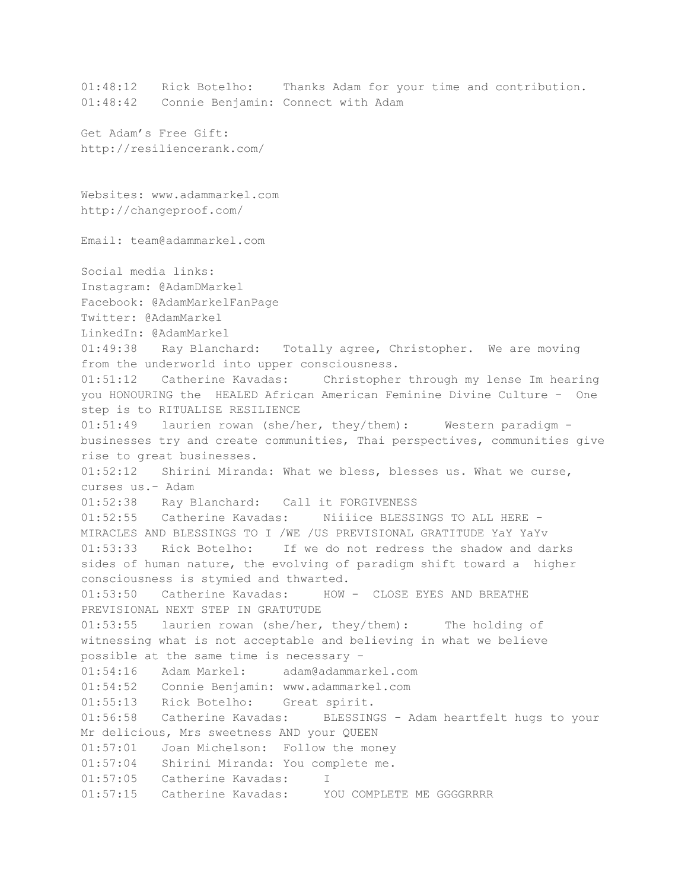01:48:12 Rick Botelho: Thanks Adam for your time and contribution. 01:48:42 Connie Benjamin: Connect with Adam Get Adam's Free Gift: http://resiliencerank.com/ Websites: www.adammarkel.com http://changeproof.com/ Email: team@adammarkel.com Social media links: Instagram: @AdamDMarkel Facebook: @AdamMarkelFanPage Twitter: @AdamMarkel LinkedIn: @AdamMarkel 01:49:38 Ray Blanchard: Totally agree, Christopher. We are moving from the underworld into upper consciousness. 01:51:12 Catherine Kavadas: Christopher through my lense Im hearing you HONOURING the HEALED African American Feminine Divine Culture - One step is to RITUALISE RESILIENCE 01:51:49 laurien rowan (she/her, they/them): Western paradigm businesses try and create communities, Thai perspectives, communities give rise to great businesses. 01:52:12 Shirini Miranda: What we bless, blesses us. What we curse, curses us.- Adam 01:52:38 Ray Blanchard: Call it FORGIVENESS 01:52:55 Catherine Kavadas: Niiiice BLESSINGS TO ALL HERE - MIRACLES AND BLESSINGS TO I /WE /US PREVISIONAL GRATITUDE YaY YaYv 01:53:33 Rick Botelho: If we do not redress the shadow and darks sides of human nature, the evolving of paradigm shift toward a higher consciousness is stymied and thwarted. 01:53:50 Catherine Kavadas: HOW - CLOSE EYES AND BREATHE PREVISIONAL NEXT STEP IN GRATUTUDE 01:53:55 laurien rowan (she/her, they/them): The holding of witnessing what is not acceptable and believing in what we believe possible at the same time is necessary - 01:54:16 Adam Markel: adam@adammarkel.com 01:54:52 Connie Benjamin: www.adammarkel.com 01:55:13 Rick Botelho: Great spirit. 01:56:58 Catherine Kavadas: BLESSINGS - Adam heartfelt hugs to your Mr delicious, Mrs sweetness AND your QUEEN 01:57:01 Joan Michelson: Follow the money 01:57:04 Shirini Miranda: You complete me. 01:57:05 Catherine Kavadas: I 01:57:15 Catherine Kavadas: YOU COMPLETE ME GGGGRRRR